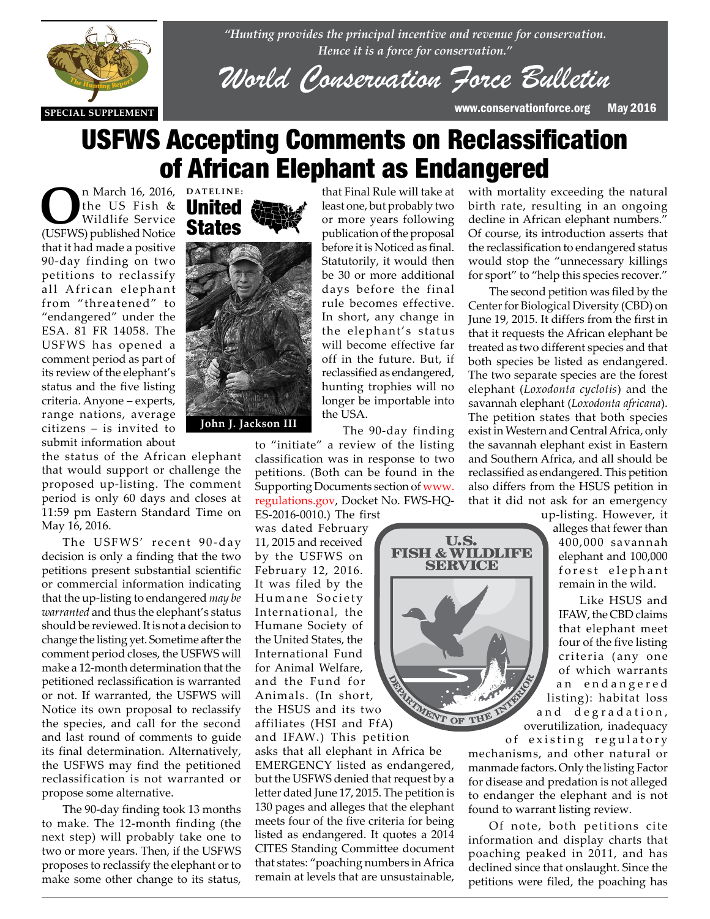

*"Hunting provides the principal incentive and revenue for conservation. Hence it is a force for conservation."*

*World Conservation Force Bulletin*

that Final Rule will take at least one, but probably two or more years following publication of the proposal before it is Noticed as final. Statutorily, it would then be 30 or more additional days before the final rule becomes effective. In short, any change in the elephant's status will become effective far off in the future. But, if reclassified as endangered, hunting trophies will no longer be importable into

**SPECIAL SUPPLEMENT** www.conservationforce.org May 2016

# USFWS Accepting Comments on Reclassification of African Elephant as Endangered

**O**n March 16, 2016, DATELINE:<br>
Wildlife Service **States** the US Fish & Wildlife Service (USFWS) published Notice that it had made a positive 90-day finding on two petitions to reclassify all African elephant from "threatened" to "endangered" under the ESA. 81 FR 14058. The USFWS has opened a comment period as part of its review of the elephant's status and the five listing<br>criteria. Anyone – experts. criteria. Anyone – experts, range nations, average citizens – is invited to submit information about

status of the African elephant<br>the status of the African elephant that would support or challenge the proposed up-listing. The comment period is only 60 days and closes at 11:59 pm Eastern Standard Time on May 16, 2016.

> The USFWS' recent 90-day decision is only a finding that the two petitions present substantial scientific or commercial information indicating that the up-listing to endangered *may be warranted* and thus the elephant's status should be reviewed. It is not a decision to change the listing yet. Sometime after the comment period closes, the USFWS will make a 12-month determination that the petitioned reclassification is warranted or not. If warranted, the USFWS will Notice its own proposal to reclassify the species, and call for the second and last round of comments to guide its final determination. Alternatively, the USFWS may find the petitioned reclassification is not warranted or propose some alternative.

> The 90-day finding took 13 months to make. The 12-month finding (the next step) will probably take one to two or more years. Then, if the USFWS proposes to reclassify the elephant or to make some other change to its status,

## United **States**



The 90-day finding to "initiate" a review of the listing classification was in response to two petitions. (Both can be found in the Supporting Documents section of www. regulations.gov, Docket No. FWS-HQ-

> U.S. **FISH & WILDLIFE SERVICE**

the USA.

ES-2016-0010.) The first was dated February 11, 2015 and received by the USFWS on February 12, 2016. It was filed by the Humane Society International, the Humane Society of the United States, the International Fund for Animal Welfare, and the Fund for Animals. (In short, the HSUS and its two Animals. (In snort,<br>the HSUS and its two<br>affiliates (HSI and FfA)

and IFAW.) This petition asks that all elephant in Africa be EMERGENCY listed as endangered, but the USFWS denied that request by a letter dated June 17, 2015. The petition is 130 pages and alleges that the elephant meets four of the five criteria for being listed as endangered. It quotes a 2014 CITES Standing Committee document that states: "poaching numbers in Africa remain at levels that are unsustainable,

with mortality exceeding the natural birth rate, resulting in an ongoing decline in African elephant numbers." Of course, its introduction asserts that the reclassification to endangered status would stop the "unnecessary killings for sport" to "help this species recover."

The second petition was filed by the Center for Biological Diversity (CBD) on June 19, 2015. It differs from the first in that it requests the African elephant be treated as two different species and that both species be listed as endangered. The two separate species are the forest elephant (*Loxodonta cyclotis*) and the savannah elephant (*Loxodonta africana*). The petition states that both species exist in Western and Central Africa, only the savannah elephant exist in Eastern and Southern Africa, and all should be reclassified as endangered. This petition also differs from the HSUS petition in that it did not ask for an emergency

> up-listing. However, it alleges that fewer than 400,000 savannah elephant and 100,000 forest elephant remain in the wild.

Like HSUS and IFAW, the CBD claims that elephant meet four of the five listing criteria (any one of which warrants a n e n d a n g e r e d listing): habitat loss and degradation, overutilization, inadequacy

of existing regulatory mechanisms, and other natural or manmade factors. Only the listing Factor for disease and predation is not alleged to endanger the elephant and is not

Of note, both petitions cite information and display charts that poaching peaked in 2011, and has declined since that onslaught. Since the petitions were filed, the poaching has

found to warrant listing review.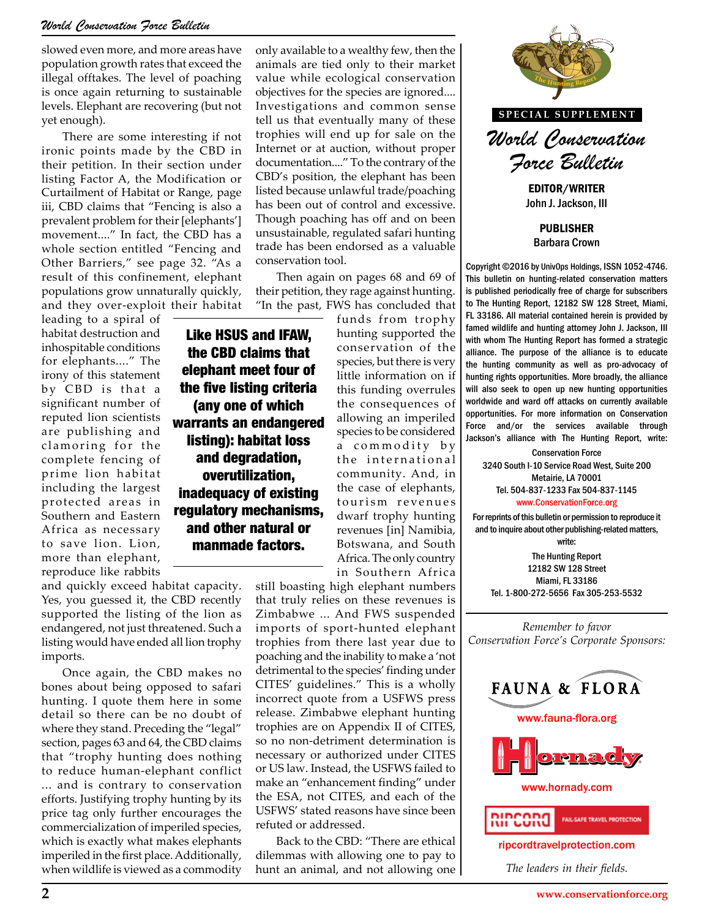slowed even more, and more areas have population growth rates that exceed the illegal offtakes. The level of poaching is once again returning to sustainable levels. Elephant are recovering (but not yet enough).

There are some interesting if not ironic points made by the CBD in their petition. In their section under listing Factor A, the Modification or Curtailment of Habitat or Range, page iii, CBD claims that "Fencing is also a prevalent problem for their [elephants'] movement...." In fact, the CBD has a whole section entitled "Fencing and Other Barriers," see page 32. "As a result of this confinement, elephant populations grow unnaturally quickly, and they over-exploit their habitat

leading to a spiral of habitat destruction and inhospitable conditions for elephants...." The irony of this statement by CBD is that a significant number of reputed lion scientists are publishing and clamoring for the complete fencing of prime lion habitat including the largest protected areas in Southern and Eastern Africa as necessary to save lion. Lion, more than elephant, reproduce like rabbits

the CBD claims that elephant meet four of the five listing criteria (any one of which warrants an endangered listing): habitat loss and degradation, overutilization, inadequacy of existing regulatory mechanisms, and other natural or manmade factors.

and quickly exceed habitat capacity. Yes, you guessed it, the CBD recently supported the listing of the lion as endangered, not just threatened. Such a listing would have ended all lion trophy imports.

Once again, the CBD makes no bones about being opposed to safari hunting. I quote them here in some detail so there can be no doubt of where they stand. Preceding the "legal" section, pages 63 and 64, the CBD claims that "trophy hunting does nothing to reduce human-elephant conflict ... and is contrary to conservation efforts. Justifying trophy hunting by its price tag only further encourages the commercialization of imperiled species, which is exactly what makes elephants imperiled in the first place. Additionally, when wildlife is viewed as a commodity

only available to a wealthy few, then the animals are tied only to their market value while ecological conservation objectives for the species are ignored.... Investigations and common sense tell us that eventually many of these trophies will end up for sale on the Internet or at auction, without proper documentation...." To the contrary of the CBD's position, the elephant has been listed because unlawful trade/poaching has been out of control and excessive. Though poaching has off and on been unsustainable, regulated safari hunting trade has been endorsed as a valuable conservation tool.

Then again on pages 68 and 69 of their petition, they rage against hunting. "In the past, FWS has concluded that

funds from trophy hunting supported the conservation of the species, but there is very little information on if this funding overrules the consequences of allowing an imperiled species to be considered a commodity by the international community. And, in the case of elephants, tourism revenues dwarf trophy hunting revenues [in] Namibia, Botswana, and South Africa. The only country Like HSUS and IFAW,

> still boasting high elephant numbers that truly relies on these revenues is Zimbabwe ... And FWS suspended imports of sport-hunted elephant trophies from there last year due to poaching and the inability to make a 'not detrimental to the species' finding under CITES' guidelines." This is a wholly incorrect quote from a USFWS press release. Zimbabwe elephant hunting trophies are on Appendix II of CITES, so no non-detriment determination is necessary or authorized under CITES or US law. Instead, the USFWS failed to make an "enhancement finding" under the ESA, not CITES, and each of the USFWS' stated reasons have since been refuted or addressed.

in Southern Africa

Back to the CBD: "There are ethical dilemmas with allowing one to pay to hunt an animal, and not allowing one



**SPECIAL SUPPLEMENT**

*World Conservation Force Bulletin*

EDITOR/WRITER John J. Jackson, III

PUBLISHER Barbara Crown

Copyright ©2016 by UnivOps Holdings, ISSN 1052-4746. This bulletin on hunting-related conservation matters is published periodically free of charge for subscribers to The Hunting Report, 12182 SW 128 Street, Miami, FL 33186. All material contained herein is provided by famed wildlife and hunting attorney John J. Jackson, III with whom The Hunting Report has formed a strategic alliance. The purpose of the alliance is to educate the hunting community as well as pro-advocacy of hunting rights opportunities. More broadly, the alliance brmation on if unting rights opportunities. More broadly, the alliance<br>ling overrules will also seek to open up new hunting opportunities worldwide and ward off attacks on currently available opportunities. For more information on Conservation Force and/or the services available through Jackson's alliance with The Hunting Report, write: **THE HUNTING REPORT**

> Conservation Force 3240 South I-10 Service Road West, Suite 200 Metairie, LA 70001 Tel. 504-837-1233 Fax 504-837-1145 www.ConservationForce.org

For reprints of this bulletin or permission to reproduce it and to inquire about other publishing-related matters, write:

The Hunting Report 12182 SW 128 Street Miami, FL 33186 Tel. 1-800-272-5656 Fax 305-253-5532

*Remember to favor Conservation Force's Corporate Sponsors:*

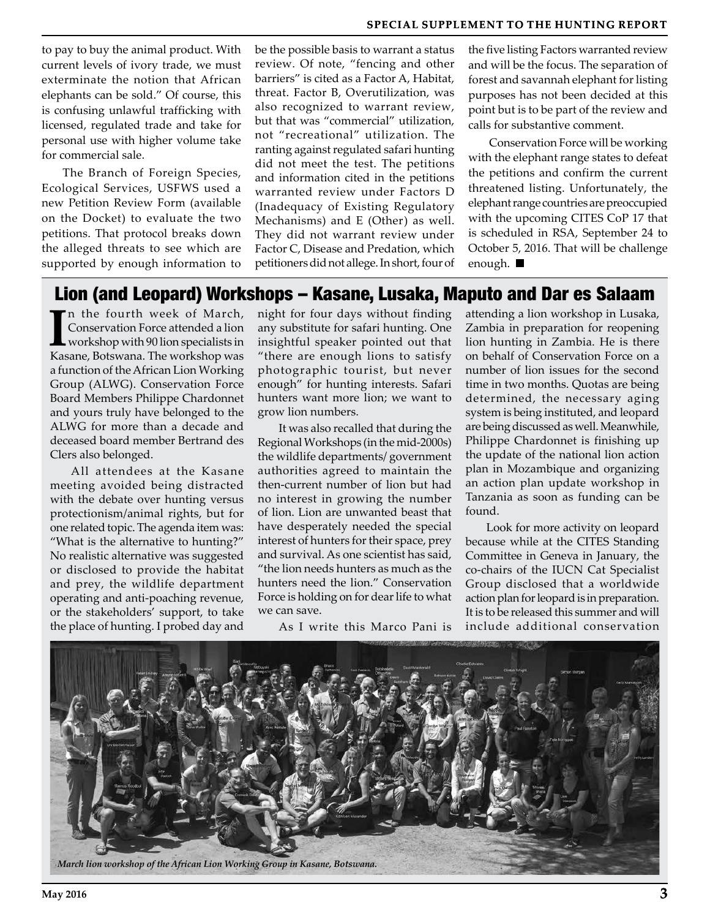to pay to buy the animal product. With current levels of ivory trade, we must exterminate the notion that African elephants can be sold." Of course, this is confusing unlawful trafficking with licensed, regulated trade and take for personal use with higher volume take for commercial sale.

The Branch of Foreign Species, Ecological Services, USFWS used a new Petition Review Form (available on the Docket) to evaluate the two petitions. That protocol breaks down the alleged threats to see which are supported by enough information to

be the possible basis to warrant a status review. Of note, "fencing and other barriers" is cited as a Factor A, Habitat, threat. Factor B, Overutilization, was also recognized to warrant review, but that was "commercial" utilization, not "recreational" utilization. The ranting against regulated safari hunting did not meet the test. The petitions and information cited in the petitions warranted review under Factors D (Inadequacy of Existing Regulatory Mechanisms) and E (Other) as well. They did not warrant review under Factor C, Disease and Predation, which petitioners did not allege. In short, four of the five listing Factors warranted review and will be the focus. The separation of forest and savannah elephant for listing purposes has not been decided at this point but is to be part of the review and calls for substantive comment.

Conservation Force will be working with the elephant range states to defeat the petitions and confirm the current threatened listing. Unfortunately, the elephant range countries are preoccupied with the upcoming CITES CoP 17 that is scheduled in RSA, September 24 to October 5, 2016. That will be challenge enough.

### Lion (and Leopard) Workshops – Kasane, Lusaka, Maputo and Dar es Salaam

In the fourth week of March, Conservation Force attended a lion workshop with 90 lion specialists in Kasane, Botswana. The workshop was n the fourth week of March, Conservation Force attended a lion workshop with 90 lion specialists in a function of the African Lion Working Group (ALWG). Conservation Force Board Members Philippe Chardonnet and yours truly have belonged to the ALWG for more than a decade and deceased board member Bertrand des Clers also belonged.

All attendees at the Kasane meeting avoided being distracted with the debate over hunting versus protectionism/animal rights, but for one related topic. The agenda item was: "What is the alternative to hunting?" No realistic alternative was suggested or disclosed to provide the habitat and prey, the wildlife department operating and anti-poaching revenue, or the stakeholders' support, to take the place of hunting. I probed day and

night for four days without finding any substitute for safari hunting. One insightful speaker pointed out that "there are enough lions to satisfy photographic tourist, but never enough" for hunting interests. Safari hunters want more lion; we want to grow lion numbers.

It was also recalled that during the Regional Workshops (in the mid-2000s) the wildlife departments/ government authorities agreed to maintain the then-current number of lion but had no interest in growing the number of lion. Lion are unwanted beast that have desperately needed the special interest of hunters for their space, prey and survival. As one scientist has said, "the lion needs hunters as much as the hunters need the lion." Conservation Force is holding on for dear life to what we can save.

As I write this Marco Pani is

attending a lion workshop in Lusaka, Zambia in preparation for reopening lion hunting in Zambia. He is there on behalf of Conservation Force on a number of lion issues for the second time in two months. Quotas are being determined, the necessary aging system is being instituted, and leopard are being discussed as well. Meanwhile, Philippe Chardonnet is finishing up the update of the national lion action plan in Mozambique and organizing an action plan update workshop in Tanzania as soon as funding can be found.

Look for more activity on leopard because while at the CITES Standing Committee in Geneva in January, the co-chairs of the IUCN Cat Specialist Group disclosed that a worldwide action plan for leopard is in preparation. It is to be released this summer and will include additional conservation